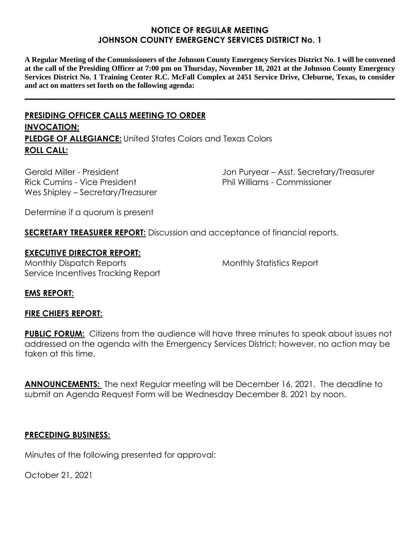### **NOTICE OF REGULAR MEETING JOHNSON COUNTY EMERGENCY SERVICES DISTRICT No. 1**

**A Regular Meeting of the Commissioners of the Johnson County Emergency Services District No. 1 will be convened at the call of the Presiding Officer at 7:00 pm on Thursday, November 18, 2021 at the Johnson County Emergency Services District No. 1 Training Center R.C. McFall Complex at 2451 Service Drive, Cleburne, Texas, to consider and act on matters set forth on the following agenda:**

**\_\_\_\_\_\_\_\_\_\_\_\_\_\_\_\_\_\_\_\_\_\_\_\_\_\_\_\_\_\_\_\_\_\_\_\_\_\_\_\_\_\_\_\_\_\_\_\_\_\_\_\_\_\_\_\_\_\_\_\_\_\_\_\_\_\_\_\_\_\_\_\_\_\_\_\_\_\_\_\_\_\_\_\_\_\_\_\_\_\_**

# **PRESIDING OFFICER CALLS MEETING TO ORDER INVOCATION: PLEDGE OF ALLEGIANCE:** United States Colors and Texas Colors **ROLL CALL:**

Gerald Miller - President Rick Cumins - Vice President Wes Shipley – Secretary/Treasurer Jon Puryear – Asst. Secretary/Treasurer Phil Williams - Commissioner

Determine if a quorum is present

**SECRETARY TREASURER REPORT:** Discussion and acceptance of financial reports.

### **EXECUTIVE DIRECTOR REPORT:**

Monthly Dispatch Reports Service Incentives Tracking Report Monthly Statistics Report

### **EMS REPORT:**

#### **FIRE CHIEFS REPORT:**

**PUBLIC FORUM:** Citizens from the audience will have three minutes to speak about issues not addressed on the agenda with the Emergency Services District; however, no action may be taken at this time.

**ANNOUNCEMENTS:** The next Regular meeting will be December 16, 2021. The deadline to submit an Agenda Request Form will be Wednesday December 8, 2021 by noon.

#### **PRECEDING BUSINESS:**

Minutes of the following presented for approval:

October 21, 2021